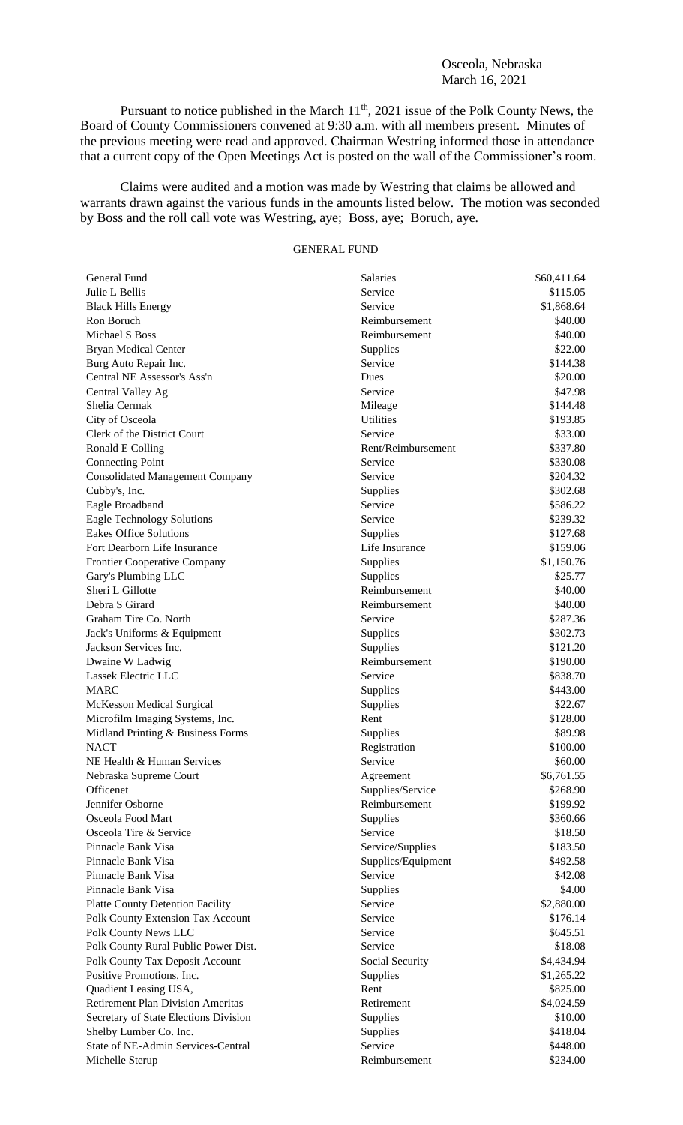## Osceola, Nebraska March 16, 2021

Pursuant to notice published in the March 11<sup>th</sup>, 2021 issue of the Polk County News, the Board of County Commissioners convened at 9:30 a.m. with all members present. Minutes of the previous meeting were read and approved. Chairman Westring informed those in attendance that a current copy of the Open Meetings Act is posted on the wall of the Commissioner's room.

Claims were audited and a motion was made by Westring that claims be allowed and warrants drawn against the various funds in the amounts listed below. The motion was seconded by Boss and the roll call vote was Westring, aye; Boss, aye; Boruch, aye.

## GENERAL FUND

| General Fund                             | Salaries           | \$60,411.64 |
|------------------------------------------|--------------------|-------------|
| Julie L Bellis                           | Service            | \$115.05    |
| <b>Black Hills Energy</b>                | Service            | \$1,868.64  |
| Ron Boruch                               | Reimbursement      | \$40.00     |
| Michael S Boss                           | Reimbursement      | \$40.00     |
| <b>Bryan Medical Center</b>              | Supplies           | \$22.00     |
| Burg Auto Repair Inc.                    | Service            | \$144.38    |
| Central NE Assessor's Ass'n              | Dues               | \$20.00     |
| Central Valley Ag                        | Service            | \$47.98     |
| Shelia Cermak                            | Mileage            | \$144.48    |
| City of Osceola                          | <b>Utilities</b>   | \$193.85    |
| Clerk of the District Court              | Service            | \$33.00     |
| Ronald E Colling                         | Rent/Reimbursement | \$337.80    |
| <b>Connecting Point</b>                  | Service            | \$330.08    |
| <b>Consolidated Management Company</b>   | Service            | \$204.32    |
| Cubby's, Inc.                            | Supplies           | \$302.68    |
| Eagle Broadband                          | Service            | \$586.22    |
| <b>Eagle Technology Solutions</b>        | Service            | \$239.32    |
| <b>Eakes Office Solutions</b>            | Supplies           | \$127.68    |
| Fort Dearborn Life Insurance             | Life Insurance     | \$159.06    |
| <b>Frontier Cooperative Company</b>      | Supplies           | \$1,150.76  |
| Gary's Plumbing LLC                      | Supplies           | \$25.77     |
| Sheri L Gillotte                         | Reimbursement      | \$40.00     |
| Debra S Girard                           | Reimbursement      | \$40.00     |
| Graham Tire Co. North                    | Service            | \$287.36    |
| Jack's Uniforms & Equipment              | Supplies           | \$302.73    |
| Jackson Services Inc.                    | Supplies           | \$121.20    |
| Dwaine W Ladwig                          | Reimbursement      | \$190.00    |
| Lassek Electric LLC                      | Service            | \$838.70    |
| <b>MARC</b>                              | Supplies           | \$443.00    |
| <b>McKesson Medical Surgical</b>         | Supplies           | \$22.67     |
| Microfilm Imaging Systems, Inc.          | Rent               | \$128.00    |
| Midland Printing & Business Forms        | Supplies           | \$89.98     |
| <b>NACT</b>                              | Registration       | \$100.00    |
| NE Health & Human Services               | Service            | \$60.00     |
| Nebraska Supreme Court                   | Agreement          | \$6,761.55  |
| Officenet                                | Supplies/Service   | \$268.90    |
| Jennifer Osborne                         | Reimbursement      | \$199.92    |
| Osceola Food Mart                        | Supplies           | \$360.66    |
| Osceola Tire & Service                   | Service            | \$18.50     |
| Pinnacle Bank Visa                       | Service/Supplies   | \$183.50    |
| Pinnacle Bank Visa                       | Supplies/Equipment | \$492.58    |
| Pinnacle Bank Visa                       | Service            | \$42.08     |
| Pinnacle Bank Visa                       | Supplies           | \$4.00      |
| <b>Platte County Detention Facility</b>  | Service            | \$2,880.00  |
| Polk County Extension Tax Account        | Service            | \$176.14    |
| Polk County News LLC                     | Service            | \$645.51    |
| Polk County Rural Public Power Dist.     | Service            | \$18.08     |
|                                          |                    |             |
| Polk County Tax Deposit Account          | Social Security    | \$4,434.94  |
| Positive Promotions, Inc.                | Supplies           | \$1,265.22  |
| Quadient Leasing USA,                    | Rent               | \$825.00    |
| <b>Retirement Plan Division Ameritas</b> | Retirement         | \$4,024.59  |
| Secretary of State Elections Division    | Supplies           | \$10.00     |
| Shelby Lumber Co. Inc.                   | Supplies           | \$418.04    |
| State of NE-Admin Services-Central       | Service            | \$448.00    |
| Michelle Sterup                          | Reimbursement      | \$234.00    |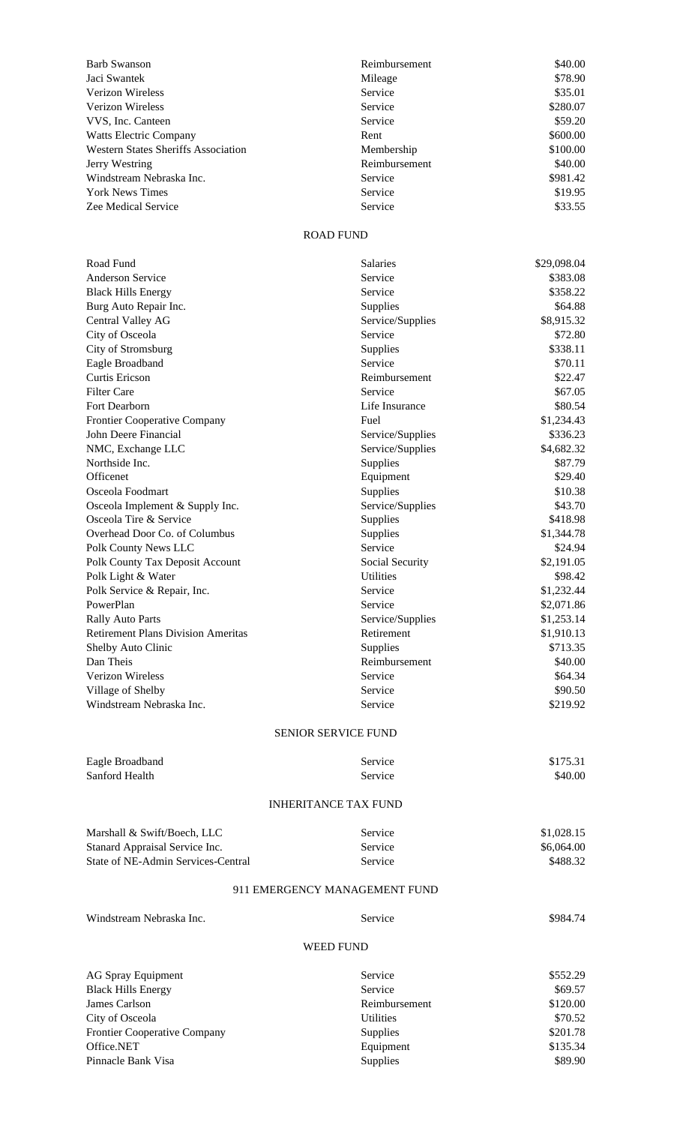| <b>Barb Swanson</b>                        | Reimbursement | \$40.00  |
|--------------------------------------------|---------------|----------|
| Jaci Swantek                               | Mileage       | \$78.90  |
| Verizon Wireless                           | Service       | \$35.01  |
| <b>Verizon Wireless</b>                    | Service       | \$280.07 |
| VVS, Inc. Canteen                          | Service       | \$59.20  |
| <b>Watts Electric Company</b>              | Rent          | \$600.00 |
| <b>Western States Sheriffs Association</b> | Membership    | \$100.00 |
| Jerry Westring                             | Reimbursement | \$40.00  |
| Windstream Nebraska Inc.                   | Service       | \$981.42 |
| <b>York News Times</b>                     | Service       | \$19.95  |
| Zee Medical Service                        | Service       | \$33.55  |
|                                            |               |          |

## ROAD FUND

| Road Fund                                 | Salaries         | \$29,098.04 |  |  |
|-------------------------------------------|------------------|-------------|--|--|
| <b>Anderson Service</b>                   | Service          | \$383.08    |  |  |
| <b>Black Hills Energy</b>                 | Service          | \$358.22    |  |  |
| Burg Auto Repair Inc.                     | Supplies         | \$64.88     |  |  |
| Central Valley AG                         | Service/Supplies | \$8,915.32  |  |  |
| City of Osceola                           | Service          | \$72.80     |  |  |
| City of Stromsburg                        | Supplies         | \$338.11    |  |  |
| Eagle Broadband                           | Service          | \$70.11     |  |  |
| <b>Curtis Ericson</b>                     | Reimbursement    | \$22.47     |  |  |
| <b>Filter Care</b>                        | Service          | \$67.05     |  |  |
| Fort Dearborn                             | Life Insurance   | \$80.54     |  |  |
| Frontier Cooperative Company              | Fuel             | \$1,234.43  |  |  |
| John Deere Financial                      | Service/Supplies | \$336.23    |  |  |
| NMC, Exchange LLC                         | Service/Supplies | \$4,682.32  |  |  |
| Northside Inc.                            | Supplies         | \$87.79     |  |  |
| Officenet                                 | Equipment        | \$29.40     |  |  |
| Osceola Foodmart                          | Supplies         | \$10.38     |  |  |
| Osceola Implement & Supply Inc.           | Service/Supplies | \$43.70     |  |  |
| Osceola Tire & Service                    | Supplies         | \$418.98    |  |  |
| Overhead Door Co. of Columbus             | Supplies         | \$1,344.78  |  |  |
| Polk County News LLC                      | Service          | \$24.94     |  |  |
| Polk County Tax Deposit Account           | Social Security  | \$2,191.05  |  |  |
| Polk Light & Water                        | <b>Utilities</b> | \$98.42     |  |  |
| Polk Service & Repair, Inc.               | Service          | \$1,232.44  |  |  |
| PowerPlan                                 | Service          | \$2,071.86  |  |  |
| <b>Rally Auto Parts</b>                   | Service/Supplies | \$1,253.14  |  |  |
| <b>Retirement Plans Division Ameritas</b> | Retirement       | \$1,910.13  |  |  |
| Shelby Auto Clinic                        | Supplies         | \$713.35    |  |  |
| Dan Theis                                 | Reimbursement    | \$40.00     |  |  |
| Verizon Wireless                          | Service          | \$64.34     |  |  |
| Village of Shelby                         | Service          | \$90.50     |  |  |
| Windstream Nebraska Inc.                  | Service          | \$219.92    |  |  |
| <b>SENIOR SERVICE FUND</b>                |                  |             |  |  |
| Eagle Broadband                           | Service          | \$175.31    |  |  |
| Sanford Health                            | Service          | \$40.00     |  |  |
|                                           |                  |             |  |  |
| <b>INHERITANCE TAX FUND</b>               |                  |             |  |  |
| Marshall & Swift/Boech, LLC               | Service          | \$1,028.15  |  |  |
| Stanard Appraisal Service Inc.            | Service          | \$6,064.00  |  |  |
| State of NE-Admin Services-Central        | Service          | \$488.32    |  |  |
| 911 EMERGENCY MANAGEMENT FUND             |                  |             |  |  |
| Windstream Nebraska Inc.                  | Service          | \$984.74    |  |  |
|                                           |                  |             |  |  |
| <b>WEED FUND</b>                          |                  |             |  |  |
| <b>AG Spray Equipment</b>                 | Service          | \$552.29    |  |  |
| <b>Black Hills Energy</b>                 | Service          | \$69.57     |  |  |
| James Carlson                             | Reimbursement    | \$120.00    |  |  |
| City of Osceola                           | <b>Utilities</b> | \$70.52     |  |  |
| Frontier Cooperative Company              | Supplies         | \$201.78    |  |  |
| Office.NET                                | Equipment        | \$135.34    |  |  |
| Pinnacle Bank Visa                        | Supplies         | \$89.90     |  |  |